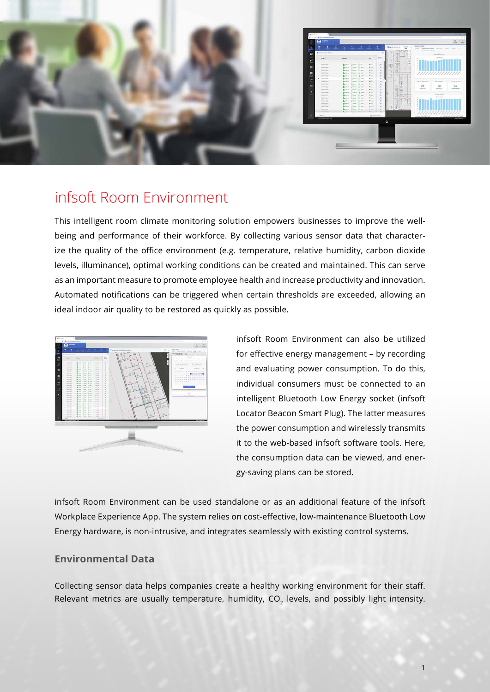

## infsoft Room Environment

This intelligent room climate monitoring solution empowers businesses to improve the wellbeing and performance of their workforce. By collecting various sensor data that characterize the quality of the office environment (e.g. temperature, relative humidity, carbon dioxide levels, illuminance), optimal working conditions can be created and maintained. This can serve as an important measure to promote employee health and increase productivity and innovation. Automated notifications can be triggered when certain thresholds are exceeded, allowing an ideal indoor air quality to be restored as quickly as possible.



infsoft Room Environment can also be utilized for effective energy management – by recording and evaluating power consumption. To do this, individual consumers must be connected to an intelligent Bluetooth Low Energy socket (infsoft Locator Beacon Smart Plug). The latter measures the power consumption and wirelessly transmits it to the web-based infsoft software tools. Here, the consumption data can be viewed, and energy-saving plans can be stored.

infsoft Room Environment can be used standalone or as an additional feature of the infsoft Workplace Experience App. The system relies on cost-effective, low-maintenance Bluetooth Low Energy hardware, is non-intrusive, and integrates seamlessly with existing control systems.

#### **Environmental Data**

Collecting sensor data helps companies create a healthy working environment for their staff. Relevant metrics are usually temperature, humidity,  $CO<sub>2</sub>$  levels, and possibly light intensity.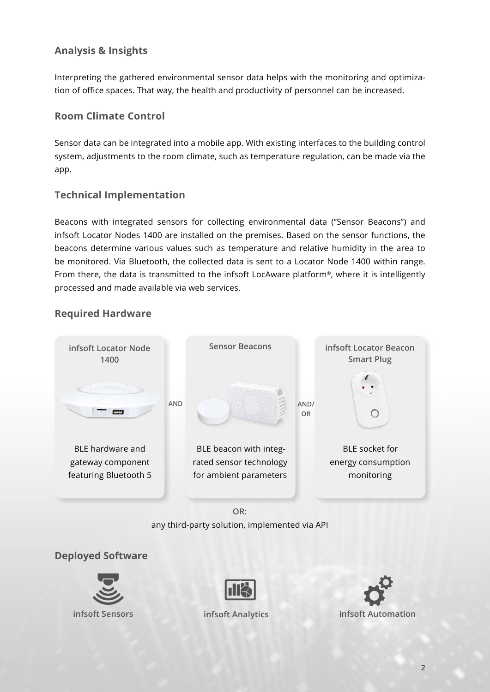## **Analysis & Insights**

Interpreting the gathered environmental sensor data helps with the monitoring and optimization of office spaces. That way, the health and productivity of personnel can be increased.

#### **Room Climate Control**

Sensor data can be integrated into a mobile app. With existing interfaces to the building control system, adjustments to the room climate, such as temperature regulation, can be made via the app.

### **Technical Implementation**

Beacons with integrated sensors for collecting environmental data ("Sensor Beacons") and infsoft Locator Nodes 1400 are installed on the premises. Based on the sensor functions, the beacons determine various values such as temperature and relative humidity in the area to be monitored. Via Bluetooth, the collected data is sent to a Locator Node 1400 within range. From there, the data is transmitted to the infsoft LocAware platform®, where it is intelligently processed and made available via web services.



**Required Hardware**

any third-party solution, implemented via API

#### **Deployed Software**





**[infsoft Sensors](https://www.infsoft.com/platform/processing-output/sensors/) [infsoft Analytics](https://www.infsoft.com/platform/processing-output/analytics/) [infsoft Automation](https://www.infsoft.com/platform/processing-output/automation/)**